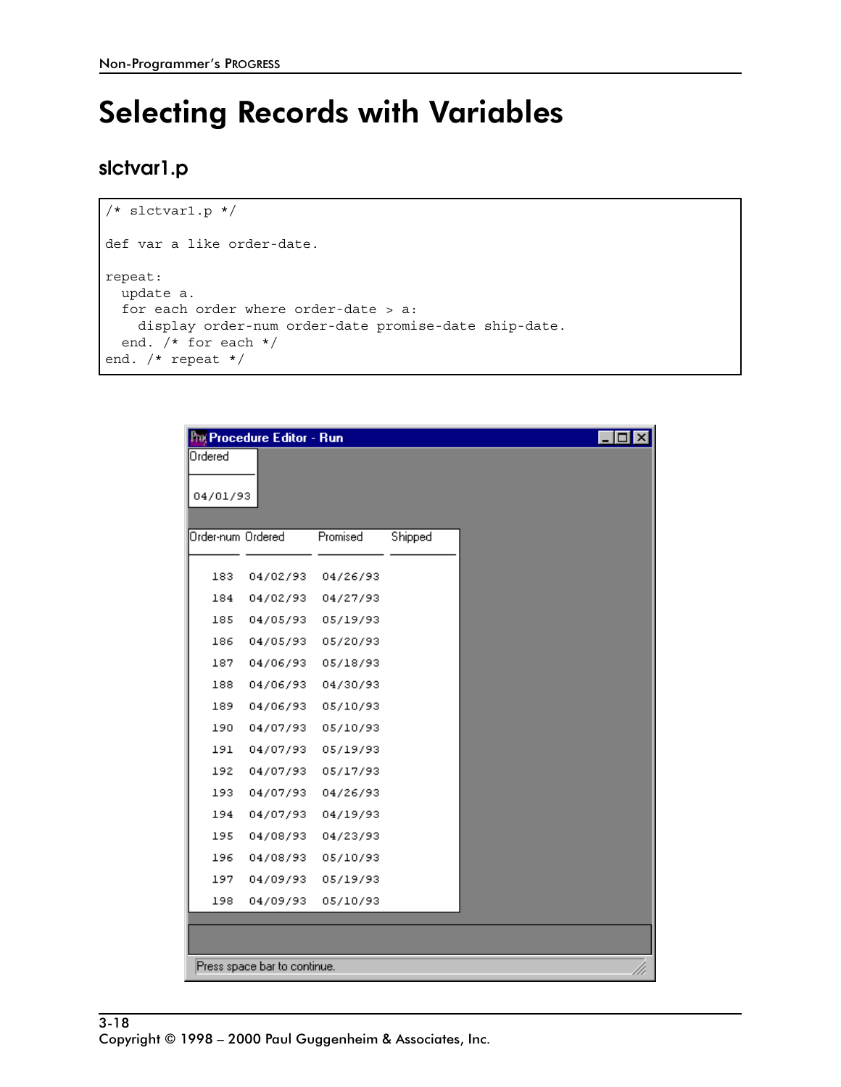# **Selecting Records with Variables**

#### slctvar1.p

```
/* slctvar1.p */
def var a like order-date.
repeat:
 update a.
 for each order where order-date > a:
   display order-num order-date promise-date ship-date.
 end. /* for each */end. /* repeat */
```

| <b>Pre</b> Procedure Editor - Run<br>Ordered<br>04/01/93 |          |         |  |  |
|----------------------------------------------------------|----------|---------|--|--|
| Order-num Ordered                                        | Promised | Shipped |  |  |
| 183<br>04/02/93                                          | 04/26/93 |         |  |  |
| 184<br>04/02/93                                          | 04/27/93 |         |  |  |
| 185<br>04/05/93                                          | 05/19/93 |         |  |  |
| 186<br>04/05/93                                          | 05/20/93 |         |  |  |
| 187<br>04/06/93                                          | 05/18/93 |         |  |  |
| 188<br>04/06/93                                          | 04/30/93 |         |  |  |
| 189<br>04/06/93                                          | 05/10/93 |         |  |  |
| 190<br>04/07/93                                          | 05/10/93 |         |  |  |
| 191<br>04/07/93                                          | 05/19/93 |         |  |  |
| 192<br>04/07/93                                          | 05/17/93 |         |  |  |
| 193<br>04/07/93                                          | 04/26/93 |         |  |  |
| 194<br>04/07/93                                          | 04/19/93 |         |  |  |
| 195<br>04/08/93                                          | 04/23/93 |         |  |  |
| 196<br>04/08/93                                          | 05/10/93 |         |  |  |
| 197<br>04/09/93                                          | 05/19/93 |         |  |  |
| 198<br>04/09/93                                          | 05/10/93 |         |  |  |
|                                                          |          |         |  |  |
| Press space bar to continue.                             |          |         |  |  |